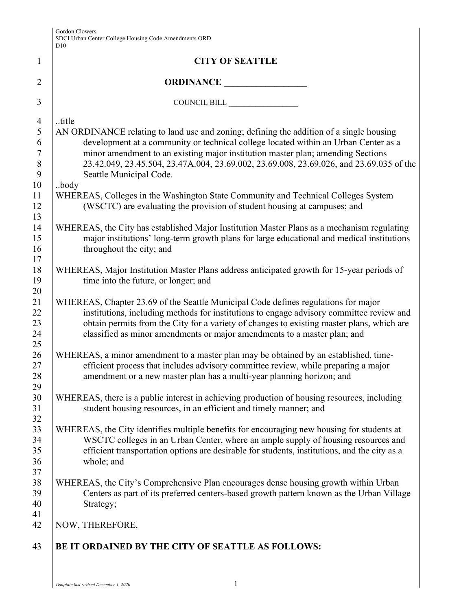|                | D10                                                                                          |
|----------------|----------------------------------------------------------------------------------------------|
| $\mathbf{1}$   | <b>CITY OF SEATTLE</b>                                                                       |
| $\overline{2}$ | ORDINANCE                                                                                    |
| 3              | COUNCIL BILL                                                                                 |
| $\overline{4}$ | title                                                                                        |
| 5              | AN ORDINANCE relating to land use and zoning; defining the addition of a single housing      |
| 6              | development at a community or technical college located within an Urban Center as a          |
| $\tau$         | minor amendment to an existing major institution master plan; amending Sections              |
| $\,8\,$        | 23.42.049, 23.45.504, 23.47A.004, 23.69.002, 23.69.008, 23.69.026, and 23.69.035 of the      |
| 9              | Seattle Municipal Code.                                                                      |
| 10             | body                                                                                         |
| 11             | WHEREAS, Colleges in the Washington State Community and Technical Colleges System            |
| 12             | (WSCTC) are evaluating the provision of student housing at campuses; and                     |
| 13<br>14       | WHEREAS, the City has established Major Institution Master Plans as a mechanism regulating   |
| 15             | major institutions' long-term growth plans for large educational and medical institutions    |
| 16             | throughout the city; and                                                                     |
| 17             |                                                                                              |
| 18             | WHEREAS, Major Institution Master Plans address anticipated growth for 15-year periods of    |
| 19             | time into the future, or longer; and                                                         |
| 20             |                                                                                              |
| 21             | WHEREAS, Chapter 23.69 of the Seattle Municipal Code defines regulations for major           |
| 22             | institutions, including methods for institutions to engage advisory committee review and     |
| 23             | obtain permits from the City for a variety of changes to existing master plans, which are    |
| 24             | classified as minor amendments or major amendments to a master plan; and                     |
| 25             |                                                                                              |
| 26             | WHEREAS, a minor amendment to a master plan may be obtained by an established, time-         |
| 27<br>$28\,$   | efficient process that includes advisory committee review, while preparing a major           |
| 29             | amendment or a new master plan has a multi-year planning horizon; and                        |
| 30             | WHEREAS, there is a public interest in achieving production of housing resources, including  |
| 31             | student housing resources, in an efficient and timely manner; and                            |
| 32             |                                                                                              |
| 33             | WHEREAS, the City identifies multiple benefits for encouraging new housing for students at   |
| 34             | WSCTC colleges in an Urban Center, where an ample supply of housing resources and            |
| 35             | efficient transportation options are desirable for students, institutions, and the city as a |
| 36             | whole; and                                                                                   |
| 37             |                                                                                              |
| 38             | WHEREAS, the City's Comprehensive Plan encourages dense housing growth within Urban          |
| 39             | Centers as part of its preferred centers-based growth pattern known as the Urban Village     |
| 40             | Strategy;                                                                                    |
| 41             |                                                                                              |
| 42             | NOW, THEREFORE,                                                                              |
| 43             | BE IT ORDAINED BY THE CITY OF SEATTLE AS FOLLOWS:                                            |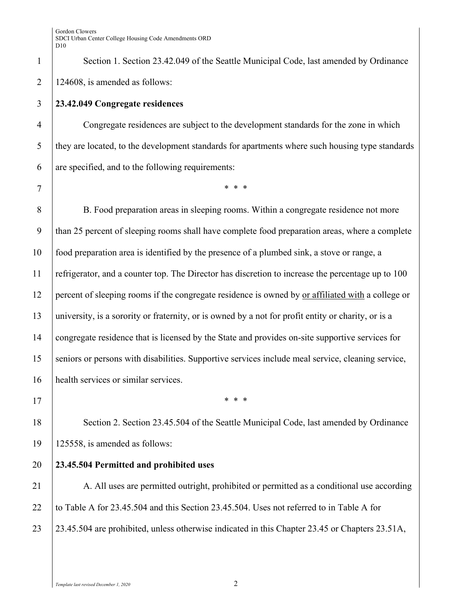1 Section 1. Section 23.42.049 of the Seattle Municipal Code, last amended by Ordinance 2 | 124608, is amended as follows:

## 3 **23.42.049 Congregate residences**

4 Congregate residences are subject to the development standards for the zone in which 5 they are located, to the development standards for apartments where such housing type standards  $\begin{bmatrix} 6 \\ 1 \end{bmatrix}$  are specified, and to the following requirements:

7 \* \* \*

8 B. Food preparation areas in sleeping rooms. Within a congregate residence not more 9 than 25 percent of sleeping rooms shall have complete food preparation areas, where a complete 10 food preparation area is identified by the presence of a plumbed sink, a stove or range, a 11 refrigerator, and a counter top. The Director has discretion to increase the percentage up to 100 12 percent of sleeping rooms if the congregate residence is owned by or affiliated with a college or 13 university, is a sorority or fraternity, or is owned by a not for profit entity or charity, or is a 14 congregate residence that is licensed by the State and provides on-site supportive services for 15 seniors or persons with disabilities. Supportive services include meal service, cleaning service, 16 health services or similar services.

 $17$  \* \* \*

18 Section 2. Section 23.45.504 of the Seattle Municipal Code, last amended by Ordinance 19 125558, is amended as follows:

## 20 **23.45.504 Permitted and prohibited uses**

21 A. All uses are permitted outright, prohibited or permitted as a conditional use according 22 to Table A for 23.45.504 and this Section 23.45.504. Uses not referred to in Table A for 23 23.45.504 are prohibited, unless otherwise indicated in this Chapter 23.45 or Chapters 23.51A,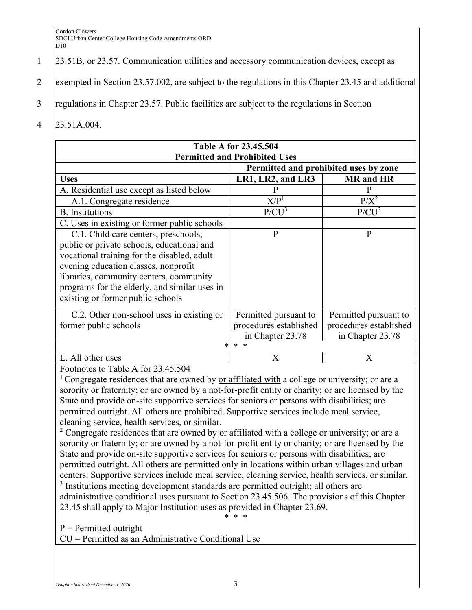## 1 23.51B, or 23.57. Communication utilities and accessory communication devices, except as

- 2 exempted in Section 23.57.002, are subject to the regulations in this Chapter 23.45 and additional
- 3 regulations in Chapter 23.57. Public facilities are subject to the regulations in Section
- 4 23.51A.004.

| <b>Table A for 23.45.504</b>                                                                                                                                                                                                                                                                               |                                                                                        |                                                                     |  |
|------------------------------------------------------------------------------------------------------------------------------------------------------------------------------------------------------------------------------------------------------------------------------------------------------------|----------------------------------------------------------------------------------------|---------------------------------------------------------------------|--|
| <b>Permitted and Prohibited Uses</b>                                                                                                                                                                                                                                                                       |                                                                                        |                                                                     |  |
| Permitted and prohibited uses by zone                                                                                                                                                                                                                                                                      |                                                                                        |                                                                     |  |
| <b>Uses</b>                                                                                                                                                                                                                                                                                                | LR1, LR2, and LR3                                                                      | <b>MR</b> and HR                                                    |  |
| A. Residential use except as listed below                                                                                                                                                                                                                                                                  | P                                                                                      | P                                                                   |  |
| A.1. Congregate residence                                                                                                                                                                                                                                                                                  | X/P <sup>1</sup>                                                                       | $P/X^2$                                                             |  |
| <b>B.</b> Institutions                                                                                                                                                                                                                                                                                     | $P/CU^3$                                                                               | $P/CU^3$                                                            |  |
| C. Uses in existing or former public schools                                                                                                                                                                                                                                                               |                                                                                        |                                                                     |  |
| C.1. Child care centers, preschools,<br>public or private schools, educational and<br>vocational training for the disabled, adult<br>evening education classes, nonprofit<br>libraries, community centers, community<br>programs for the elderly, and similar uses in<br>existing or former public schools | $\mathbf{P}$                                                                           | P                                                                   |  |
| C.2. Other non-school uses in existing or<br>former public schools                                                                                                                                                                                                                                         | Permitted pursuant to<br>procedures established<br>in Chapter 23.78<br>$* *$<br>$\ast$ | Permitted pursuant to<br>procedures established<br>in Chapter 23.78 |  |
| L. All other uses                                                                                                                                                                                                                                                                                          | $\rm X$                                                                                | X                                                                   |  |

Footnotes to Table A for 23.45.504

<sup>1</sup> Congregate residences that are owned by or affiliated with a college or university; or are a sorority or fraternity; or are owned by a not-for-profit entity or charity; or are licensed by the State and provide on-site supportive services for seniors or persons with disabilities; are permitted outright. All others are prohibited. Supportive services include meal service, cleaning service, health services, or similar.

<sup>2</sup> Congregate residences that are owned by <u>or affiliated with a</u> college or university; or are a sorority or fraternity; or are owned by a not-for-profit entity or charity; or are licensed by the State and provide on-site supportive services for seniors or persons with disabilities; are permitted outright. All others are permitted only in locations within urban villages and urban centers. Supportive services include meal service, cleaning service, health services, or similar. <sup>3</sup> Institutions meeting development standards are permitted outright; all others are

administrative conditional uses pursuant to Section 23.45.506. The provisions of this Chapter 23.45 shall apply to Major Institution uses as provided in Chapter 23.69. \* \* \*

 $P = Permitted$  outright

CU = Permitted as an Administrative Conditional Use

*Template last revised December 1, 2020* 3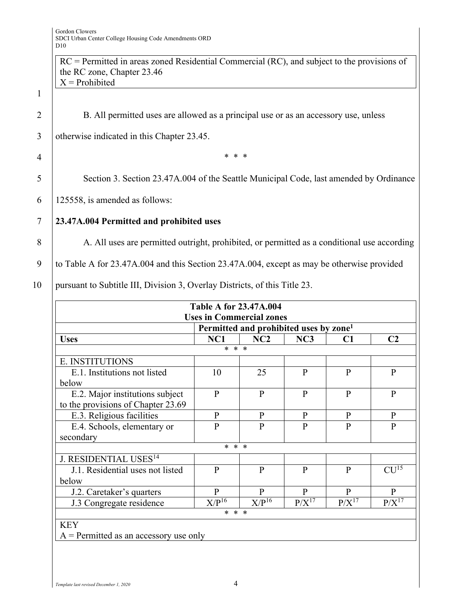1

|                | $RC = Permitted$ in areas zoned Residential Commercial (RC), and subject to the provisions of<br>the RC zone, Chapter 23.46 |
|----------------|-----------------------------------------------------------------------------------------------------------------------------|
|                | $X =$ Prohibited                                                                                                            |
| $\mathbf{1}$   |                                                                                                                             |
| $\overline{2}$ | B. All permitted uses are allowed as a principal use or as an accessory use, unless                                         |
| 3              | otherwise indicated in this Chapter 23.45.                                                                                  |
| 4              | * * *                                                                                                                       |
| 5              | Section 3. Section 23.47A.004 of the Seattle Municipal Code, last amended by Ordinance                                      |
| 6              | 125558, is amended as follows:                                                                                              |
| 7              | 23.47A.004 Permitted and prohibited uses                                                                                    |
| 8              | A. All uses are permitted outright, prohibited, or permitted as a conditional use according                                 |
| 9              | to Table A for 23.47A.004 and this Section 23.47A.004, except as may be otherwise provided                                  |
|                |                                                                                                                             |

10 | pursuant to Subtitle III, Division 3, Overlay Districts, of this Title 23.

|                                          | <b>Table A for 23.47A.004</b>   |                                                    |              |              |                  |
|------------------------------------------|---------------------------------|----------------------------------------------------|--------------|--------------|------------------|
|                                          | <b>Uses in Commercial zones</b> |                                                    |              |              |                  |
|                                          |                                 | Permitted and prohibited uses by zone <sup>1</sup> |              |              |                  |
| <b>Uses</b>                              | NC1                             | NC2                                                | NC3          | C1           | C <sub>2</sub>   |
|                                          | * * *                           |                                                    |              |              |                  |
| E. INSTITUTIONS                          |                                 |                                                    |              |              |                  |
| E.1. Institutions not listed             | 10                              | 25                                                 | $\mathbf{P}$ | P            | $\mathbf{P}$     |
| below                                    |                                 |                                                    |              |              |                  |
| E.2. Major institutions subject          | $\mathbf{P}$                    | $\mathbf{P}$                                       | $\mathbf{P}$ | $\mathbf{P}$ | $\mathbf{P}$     |
| to the provisions of Chapter 23.69       |                                 |                                                    |              |              |                  |
| E.3. Religious facilities                | P                               | P                                                  | P            | P            | P                |
| E.4. Schools, elementary or              | P                               | P                                                  | P            | P            | $\mathbf{P}$     |
| secondary                                |                                 |                                                    |              |              |                  |
|                                          | * * *                           |                                                    |              |              |                  |
| J. RESIDENTIAL USES <sup>14</sup>        |                                 |                                                    |              |              |                  |
| J.1. Residential uses not listed         | $\mathbf{P}$                    | $\mathbf{P}$                                       | $\mathbf{P}$ | $\mathbf{P}$ | CU <sup>15</sup> |
| below                                    |                                 |                                                    |              |              |                  |
| J.2. Caretaker's quarters                | $\mathbf{P}$                    | $\mathbf{P}$                                       | $\mathbf{P}$ | P            | $\mathbf{P}$     |
| J.3 Congregate residence                 | $X/P^{16}$                      | $X/P^{16}$                                         | $P/X^{17}$   | $P/X^{17}$   | $P/X^{17}$       |
| * * *                                    |                                 |                                                    |              |              |                  |
| <b>KEY</b>                               |                                 |                                                    |              |              |                  |
| $A =$ Permitted as an accessory use only |                                 |                                                    |              |              |                  |

*Template last revised December 1, 2020* 4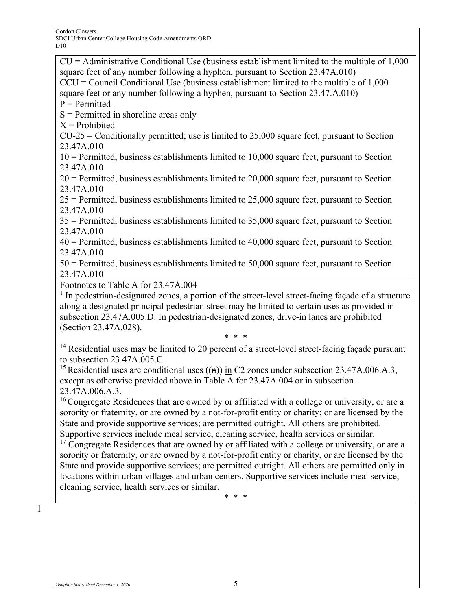$CU =$  Administrative Conditional Use (business establishment limited to the multiple of 1,000 square feet of any number following a hyphen, pursuant to Section 23.47A.010)  $CCU = Council Conditional Use (business establishment limited to the multiple of 1,000)$ square feet or any number following a hyphen, pursuant to Section 23.47.A.010)  $P = Permitted$ S = Permitted in shoreline areas only  $X =$ Prohibited  $CU-25 =$  Conditionally permitted; use is limited to 25,000 square feet, pursuant to Section 23.47A.010 10 = Permitted, business establishments limited to 10,000 square feet, pursuant to Section 23.47A.010  $20$  = Permitted, business establishments limited to  $20,000$  square feet, pursuant to Section 23.47A.010 25 = Permitted, business establishments limited to 25,000 square feet, pursuant to Section 23.47A.010 35 = Permitted, business establishments limited to 35,000 square feet, pursuant to Section 23.47A.010 40 = Permitted, business establishments limited to 40,000 square feet, pursuant to Section 23.47A.010 50 = Permitted, business establishments limited to 50,000 square feet, pursuant to Section 23.47A.010 Footnotes to Table A for 23.47A.004 <sup>1</sup> In pedestrian-designated zones, a portion of the street-level street-facing façade of a structure along a designated principal pedestrian street may be limited to certain uses as provided in subsection 23.47A.005.D. In pedestrian-designated zones, drive-in lanes are prohibited (Section 23.47A.028). \* \* \*

<sup>14</sup> Residential uses may be limited to 20 percent of a street-level street-facing façade pursuant to subsection 23.47A.005.C.

<sup>15</sup> Residential uses are conditional uses  $((n))$  in C2 zones under subsection 23.47A.006.A.3, except as otherwise provided above in Table A for 23.47A.004 or in subsection 23.47A.006.A.3.

 $16$  Congregate Residences that are owned by <u>or affiliated with</u> a college or university, or are a sorority or fraternity, or are owned by a not-for-profit entity or charity; or are licensed by the State and provide supportive services; are permitted outright. All others are prohibited. Supportive services include meal service, cleaning service, health services or similar.

 $17$  Congregate Residences that are owned by <u>or affiliated with</u> a college or university, or are a sorority or fraternity, or are owned by a not-for-profit entity or charity, or are licensed by the State and provide supportive services; are permitted outright. All others are permitted only in locations within urban villages and urban centers. Supportive services include meal service, cleaning service, health services or similar.

\* \* \*

1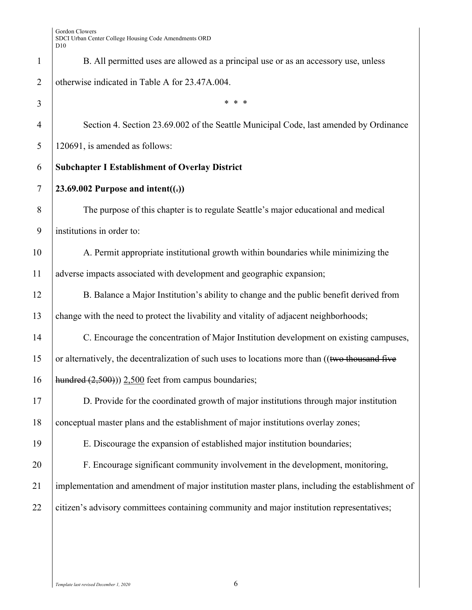| $\mathbf{1}$   | B. All permitted uses are allowed as a principal use or as an accessory use, unless            |
|----------------|------------------------------------------------------------------------------------------------|
| $\overline{2}$ | otherwise indicated in Table A for 23.47A.004.                                                 |
| 3              | * * *                                                                                          |
| $\overline{4}$ | Section 4. Section 23.69.002 of the Seattle Municipal Code, last amended by Ordinance          |
| 5              | 120691, is amended as follows:                                                                 |
| 6              | <b>Subchapter I Establishment of Overlay District</b>                                          |
| $\tau$         | 23.69.002 Purpose and intent( $(.)$ )                                                          |
| 8              | The purpose of this chapter is to regulate Seattle's major educational and medical             |
| 9              | institutions in order to:                                                                      |
| 10             | A. Permit appropriate institutional growth within boundaries while minimizing the              |
| 11             | adverse impacts associated with development and geographic expansion;                          |
| 12             | B. Balance a Major Institution's ability to change and the public benefit derived from         |
| 13             | change with the need to protect the livability and vitality of adjacent neighborhoods;         |
| 14             | C. Encourage the concentration of Major Institution development on existing campuses,          |
| 15             | or alternatively, the decentralization of such uses to locations more than ((two thousand five |
| 16             | hundred $(2,500)$ ) 2,500 feet from campus boundaries;                                         |
| 17             | D. Provide for the coordinated growth of major institutions through major institution          |
| 18             | conceptual master plans and the establishment of major institutions overlay zones;             |
| 19             | E. Discourage the expansion of established major institution boundaries;                       |
| 20             | F. Encourage significant community involvement in the development, monitoring,                 |
| 21             | implementation and amendment of major institution master plans, including the establishment of |
| 22             | citizen's advisory committees containing community and major institution representatives;      |
|                |                                                                                                |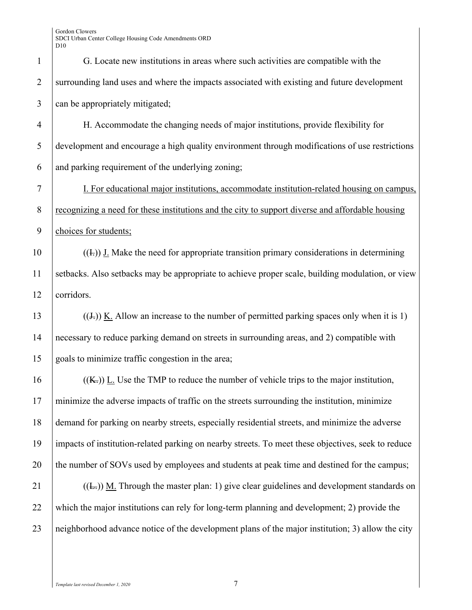| $\mathbf{1}$   | G. Locate new institutions in areas where such activities are compatible with the                  |
|----------------|----------------------------------------------------------------------------------------------------|
| $\overline{2}$ | surrounding land uses and where the impacts associated with existing and future development        |
| 3              | can be appropriately mitigated;                                                                    |
| $\overline{4}$ | H. Accommodate the changing needs of major institutions, provide flexibility for                   |
| 5              | development and encourage a high quality environment through modifications of use restrictions     |
| 6              | and parking requirement of the underlying zoning;                                                  |
| 7              | I. For educational major institutions, accommodate institution-related housing on campus,          |
| 8              | recognizing a need for these institutions and the city to support diverse and affordable housing   |
| 9              | choices for students;                                                                              |
| 10             | $((\text{L}))$ J. Make the need for appropriate transition primary considerations in determining   |
| 11             | setbacks. Also setbacks may be appropriate to achieve proper scale, building modulation, or view   |
| 12             | corridors.                                                                                         |
| 13             | $((J))$ K. Allow an increase to the number of permitted parking spaces only when it is 1)          |
| 14             | necessary to reduce parking demand on streets in surrounding areas, and 2) compatible with         |
| 15             | goals to minimize traffic congestion in the area;                                                  |
| 16             | $((K))$ L. Use the TMP to reduce the number of vehicle trips to the major institution,             |
| 17             | minimize the adverse impacts of traffic on the streets surrounding the institution, minimize       |
| 18             | demand for parking on nearby streets, especially residential streets, and minimize the adverse     |
| 19             | impacts of institution-related parking on nearby streets. To meet these objectives, seek to reduce |
| 20             | the number of SOVs used by employees and students at peak time and destined for the campus;        |
| 21             | $((E))$ M. Through the master plan: 1) give clear guidelines and development standards on          |
| 22             | which the major institutions can rely for long-term planning and development; 2) provide the       |
| 23             | neighborhood advance notice of the development plans of the major institution; 3) allow the city   |
|                |                                                                                                    |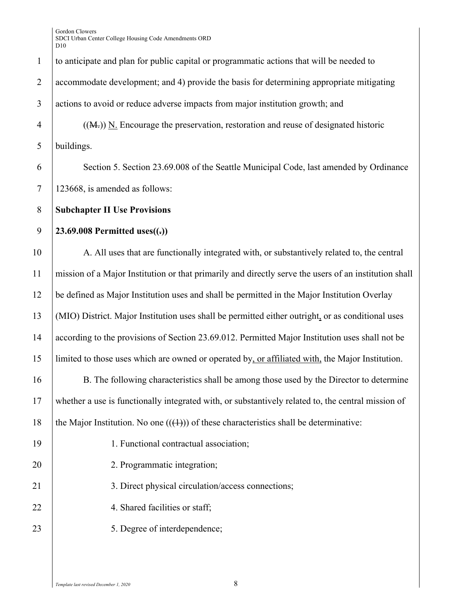| $\mathbf{1}$   | to anticipate and plan for public capital or programmatic actions that will be needed to              |
|----------------|-------------------------------------------------------------------------------------------------------|
| $\overline{2}$ | accommodate development; and 4) provide the basis for determining appropriate mitigating              |
| $\mathfrak{Z}$ | actions to avoid or reduce adverse impacts from major institution growth; and                         |
| $\overline{4}$ | $((M))$ N. Encourage the preservation, restoration and reuse of designated historic                   |
| 5              | buildings.                                                                                            |
| 6              | Section 5. Section 23.69.008 of the Seattle Municipal Code, last amended by Ordinance                 |
| $\tau$         | 123668, is amended as follows:                                                                        |
| $8\phantom{.}$ | <b>Subchapter II Use Provisions</b>                                                                   |
| 9              | 23.69.008 Permitted uses $((=))$                                                                      |
| 10             | A. All uses that are functionally integrated with, or substantively related to, the central           |
| 11             | mission of a Major Institution or that primarily and directly serve the users of an institution shall |
| 12             | be defined as Major Institution uses and shall be permitted in the Major Institution Overlay          |
| 13             | (MIO) District. Major Institution uses shall be permitted either outright, or as conditional uses     |
| 14             | according to the provisions of Section 23.69.012. Permitted Major Institution uses shall not be       |
| 15             | limited to those uses which are owned or operated by, or affiliated with, the Major Institution.      |
| 16             | B. The following characteristics shall be among those used by the Director to determine               |
| 17             | whether a use is functionally integrated with, or substantively related to, the central mission of    |
| 18             | the Major Institution. No one $((+))$ of these characteristics shall be determinative:                |
| 19             | 1. Functional contractual association;                                                                |
| 20             | 2. Programmatic integration;                                                                          |
| 21             | 3. Direct physical circulation/access connections;                                                    |
| 22             | 4. Shared facilities or staff;                                                                        |
| 23             | 5. Degree of interdependence;                                                                         |
|                |                                                                                                       |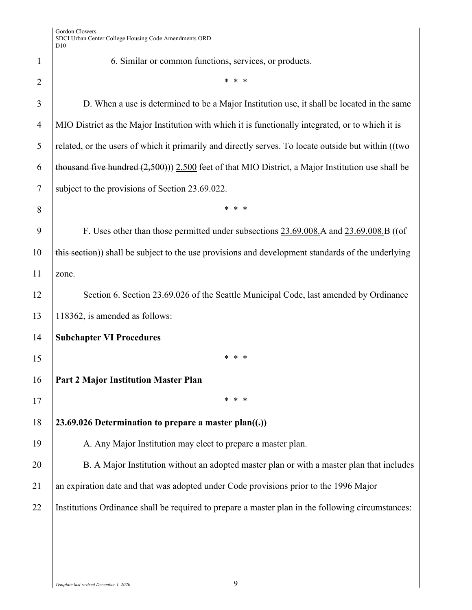1 6. Similar or common functions, services, or products. 2  $\vert$  \* \* \* 3 D. When a use is determined to be a Major Institution use, it shall be located in the same 4 MIO District as the Major Institution with which it is functionally integrated, or to which it is 5  $\vert$  related, or the users of which it primarily and directly serves. To locate outside but within ((two 6 thousand five hundred  $(2,500)$ )) 2,500 feet of that MIO District, a Major Institution use shall be 7 subject to the provisions of Section 23.69.022. 8 \* \* \* 9 F. Uses other than those permitted under subsections 23.69.008.A and 23.69.008.B (( $\theta$ f) 10 this section) shall be subject to the use provisions and development standards of the underlying 11 zone. 12 Section 6. Section 23.69.026 of the Seattle Municipal Code, last amended by Ordinance 13 118362, is amended as follows: 14 **Subchapter VI Procedures**  $15$  \* \* \* 16 **Part 2 Major Institution Master Plan**  $17$  \* \* \* 18 **23.69.026 Determination to prepare a master plan((.))**  19 A. Any Major Institution may elect to prepare a master plan. 20 B. A Major Institution without an adopted master plan or with a master plan that includes 21 an expiration date and that was adopted under Code provisions prior to the 1996 Major 22 Institutions Ordinance shall be required to prepare a master plan in the following circumstances: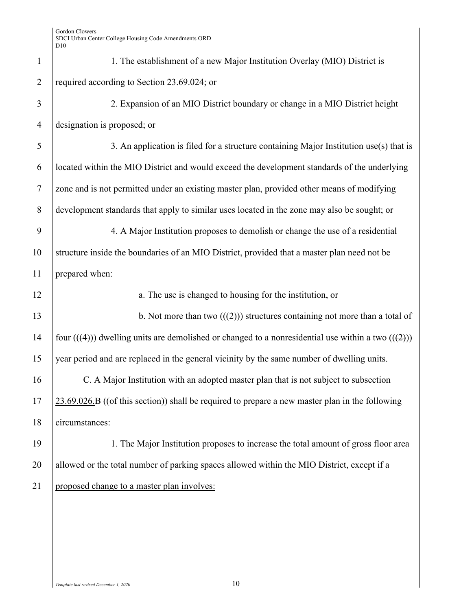| $\mathbf{1}$         | 1. The establishment of a new Major Institution Overlay (MIO) District is                           |
|----------------------|-----------------------------------------------------------------------------------------------------|
| $\overline{2}$       | required according to Section 23.69.024; or                                                         |
| 3                    | 2. Expansion of an MIO District boundary or change in a MIO District height                         |
| $\overline{4}$       | designation is proposed; or                                                                         |
| 5                    | 3. An application is filed for a structure containing Major Institution use(s) that is              |
| 6                    | located within the MIO District and would exceed the development standards of the underlying        |
| $\tau$               | zone and is not permitted under an existing master plan, provided other means of modifying          |
| 8                    | development standards that apply to similar uses located in the zone may also be sought; or         |
| 9                    | 4. A Major Institution proposes to demolish or change the use of a residential                      |
| 10                   | structure inside the boundaries of an MIO District, provided that a master plan need not be         |
| 11                   | prepared when:                                                                                      |
|                      |                                                                                                     |
|                      | a. The use is changed to housing for the institution, or                                            |
|                      | b. Not more than two $((2))$ structures containing not more than a total of                         |
|                      | four $((4))$ dwelling units are demolished or changed to a nonresidential use within a two $((2))$  |
| 12<br>13<br>14<br>15 | year period and are replaced in the general vicinity by the same number of dwelling units.          |
| 16                   | C. A Major Institution with an adopted master plan that is not subject to subsection                |
|                      | $23.69.026$ . B ((of this section)) shall be required to prepare a new master plan in the following |
| 17<br>18             | circumstances:                                                                                      |
| 19                   | 1. The Major Institution proposes to increase the total amount of gross floor area                  |
| 20                   | allowed or the total number of parking spaces allowed within the MIO District, except if a          |
| 21                   | proposed change to a master plan involves:                                                          |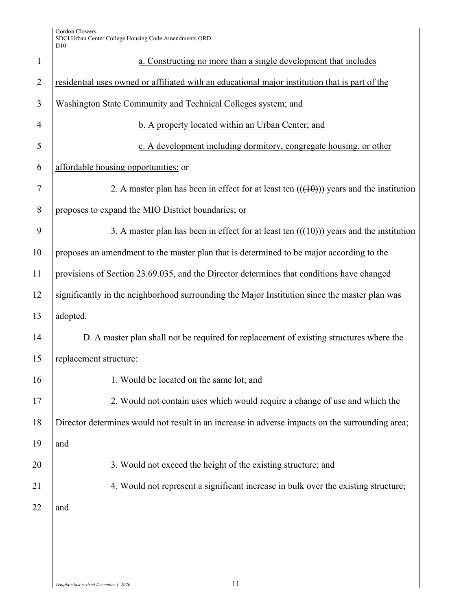| $\mathbf{1}$   | a. Constructing no more than a single development that includes                                 |
|----------------|-------------------------------------------------------------------------------------------------|
| $\overline{2}$ | residential uses owned or affiliated with an educational major institution that is part of the  |
| 3              | Washington State Community and Technical Colleges system; and                                   |
| $\overline{4}$ | b. A property located within an Urban Center; and                                               |
| 5              | c. A development including dormitory, congregate housing, or other                              |
| 6              | affordable housing opportunities; or                                                            |
| $\overline{7}$ | 2. A master plan has been in effect for at least ten $((10))$ years and the institution         |
| 8              | proposes to expand the MIO District boundaries; or                                              |
| 9              | 3. A master plan has been in effect for at least ten $((10))$ years and the institution         |
| 10             | proposes an amendment to the master plan that is determined to be major according to the        |
| 11             | provisions of Section 23.69.035, and the Director determines that conditions have changed       |
| 12             | significantly in the neighborhood surrounding the Major Institution since the master plan was   |
| 13             | adopted.                                                                                        |
| 14             | D. A master plan shall not be required for replacement of existing structures where the         |
| 15             | replacement structure:                                                                          |
| 16             | 1. Would be located on the same lot; and                                                        |
| 17             | 2. Would not contain uses which would require a change of use and which the                     |
| 18             | Director determines would not result in an increase in adverse impacts on the surrounding area; |
| 19             | and                                                                                             |
| 20             | 3. Would not exceed the height of the existing structure; and                                   |
| 21             | 4. Would not represent a significant increase in bulk over the existing structure;              |
| 22             | and                                                                                             |
|                |                                                                                                 |
|                |                                                                                                 |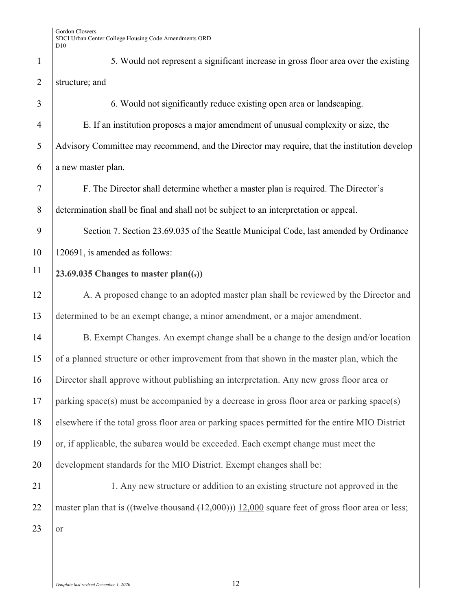1 5. Would not represent a significant increase in gross floor area over the existing 2 structure; and

3 6. Would not significantly reduce existing open area or landscaping. 4 E. If an institution proposes a major amendment of unusual complexity or size, the 5 Advisory Committee may recommend, and the Director may require, that the institution develop  $6$  a new master plan. 7 F. The Director shall determine whether a master plan is required. The Director's 8 determination shall be final and shall not be subject to an interpretation or appeal. 9 Section 7. Section 23.69.035 of the Seattle Municipal Code, last amended by Ordinance 10 120691, is amended as follows: **23.69.035 Changes to master plan((.))** 11 12 A. A proposed change to an adopted master plan shall be reviewed by the Director and 13 determined to be an exempt change, a minor amendment, or a major amendment. 14 B. Exempt Changes. An exempt change shall be a change to the design and/or location 15 of a planned structure or other improvement from that shown in the master plan, which the 16 Director shall approve without publishing an interpretation. Any new gross floor area or 17 parking space(s) must be accompanied by a decrease in gross floor area or parking space(s) 18 elsewhere if the total gross floor area or parking spaces permitted for the entire MIO District 19 or, if applicable, the subarea would be exceeded. Each exempt change must meet the 20 development standards for the MIO District. Exempt changes shall be: 21 1. Any new structure or addition to an existing structure not approved in the

 $23$  or

22 master plan that is  $(($ twelve thousand  $(12,000))$  12,000 square feet of gross floor area or less;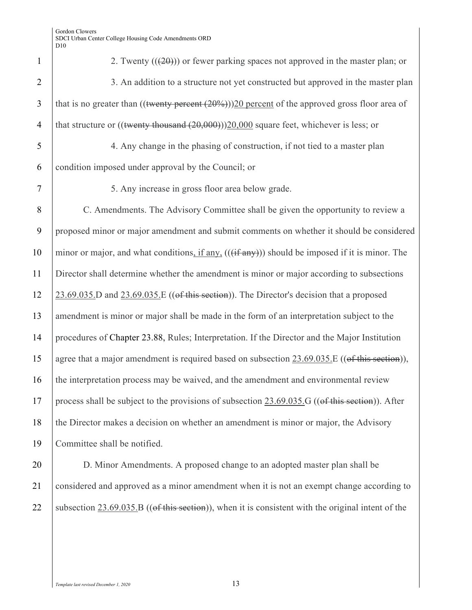| $\mathbf{1}$   | 2. Twenty $((20))$ or fewer parking spaces not approved in the master plan; or                          |
|----------------|---------------------------------------------------------------------------------------------------------|
| $\overline{2}$ | 3. An addition to a structure not yet constructed but approved in the master plan                       |
| 3              | that is no greater than $(($ twenty percent $(20%)$ $))$ 20 percent of the approved gross floor area of |
| $\overline{4}$ | that structure or $(($ twenty thousand $(20,000))$ $(20,000)$ square feet, whichever is less; or        |
| 5              | 4. Any change in the phasing of construction, if not tied to a master plan                              |
| 6              | condition imposed under approval by the Council; or                                                     |
| 7              | 5. Any increase in gross floor area below grade.                                                        |
| 8              | C. Amendments. The Advisory Committee shall be given the opportunity to review a                        |
| 9              | proposed minor or major amendment and submit comments on whether it should be considered                |
| 10             | minor or major, and what conditions, if any, (((if any))) should be imposed if it is minor. The         |
| 11             | Director shall determine whether the amendment is minor or major according to subsections               |
| 12             | $23.69.035$ . D and $23.69.035$ . E ((of this section)). The Director's decision that a proposed        |
| 13             | amendment is minor or major shall be made in the form of an interpretation subject to the               |
| 14             | procedures of Chapter 23.88, Rules; Interpretation. If the Director and the Major Institution           |
| 15             | agree that a major amendment is required based on subsection 23.69.035.E ((of this section)),           |
| 16             | the interpretation process may be waived, and the amendment and environmental review                    |
| 17             | process shall be subject to the provisions of subsection 23.69.035.G ((of this section)). After         |
| 18             | the Director makes a decision on whether an amendment is minor or major, the Advisory                   |
| 19             | Committee shall be notified.                                                                            |
| ጎሰ             | D. Miner Amendments, A memorial aboves to an edented moster plan shall be                               |

20 **D.** Minor Amendments. A proposed change to an adopted master plan shall be 21 considered and approved as a minor amendment when it is not an exempt change according to 22 subsection  $23.69.035.B$  ((of this section)), when it is consistent with the original intent of the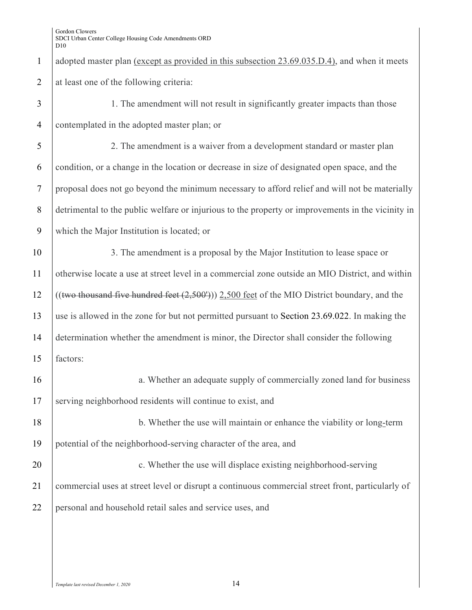1 adopted master plan (except as provided in this subsection 23.69.035.D.4), and when it meets 2 at least one of the following criteria:

| 3              | 1. The amendment will not result in significantly greater impacts than those                      |
|----------------|---------------------------------------------------------------------------------------------------|
| $\overline{4}$ | contemplated in the adopted master plan; or                                                       |
| 5              | 2. The amendment is a waiver from a development standard or master plan                           |
| 6              | condition, or a change in the location or decrease in size of designated open space, and the      |
| $\overline{7}$ | proposal does not go beyond the minimum necessary to afford relief and will not be materially     |
| 8              | detrimental to the public welfare or injurious to the property or improvements in the vicinity in |
| 9              | which the Major Institution is located; or                                                        |
| 10             | 3. The amendment is a proposal by the Major Institution to lease space or                         |
| 11             | otherwise locate a use at street level in a commercial zone outside an MIO District, and within   |
| 12             | $((two thousand five hundred feet (2,500'))) 2,500 feet of the MIO District boundary, and the$    |
| 13             | use is allowed in the zone for but not permitted pursuant to Section 23.69.022. In making the     |
| 14             | determination whether the amendment is minor, the Director shall consider the following           |
| 15             | factors:                                                                                          |
| 16             | a. Whether an adequate supply of commercially zoned land for business                             |
| 17             | serving neighborhood residents will continue to exist, and                                        |
| 18             | b. Whether the use will maintain or enhance the viability or long-term                            |
| 19             | potential of the neighborhood-serving character of the area, and                                  |
| 20             | c. Whether the use will displace existing neighborhood-serving                                    |
| 21             | commercial uses at street level or disrupt a continuous commercial street front, particularly of  |
| 22             | personal and household retail sales and service uses, and                                         |
|                |                                                                                                   |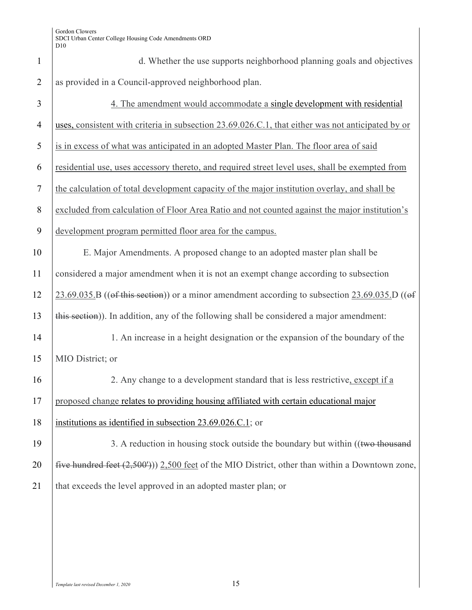| $\mathbf{1}$   | d. Whether the use supports neighborhood planning goals and objectives                              |
|----------------|-----------------------------------------------------------------------------------------------------|
| $\overline{2}$ | as provided in a Council-approved neighborhood plan.                                                |
| 3              | 4. The amendment would accommodate a single development with residential                            |
| $\overline{4}$ | uses, consistent with criteria in subsection 23.69.026.C.1, that either was not anticipated by or   |
| 5              | is in excess of what was anticipated in an adopted Master Plan. The floor area of said              |
| 6              | residential use, uses accessory thereto, and required street level uses, shall be exempted from     |
| $\tau$         | the calculation of total development capacity of the major institution overlay, and shall be        |
| $8\,$          | excluded from calculation of Floor Area Ratio and not counted against the major institution's       |
| 9              | development program permitted floor area for the campus.                                            |
| 10             | E. Major Amendments. A proposed change to an adopted master plan shall be                           |
| 11             | considered a major amendment when it is not an exempt change according to subsection                |
| 12             | $23.69.035.B$ ((of this section)) or a minor amendment according to subsection $23.69.035.D$ ((of   |
| 13             | this section)). In addition, any of the following shall be considered a major amendment:            |
| 14             | 1. An increase in a height designation or the expansion of the boundary of the                      |
| 15             | MIO District; or                                                                                    |
| 16             | 2. Any change to a development standard that is less restrictive, except if a                       |
| 17             | proposed change relates to providing housing affiliated with certain educational major              |
| 18             | institutions as identified in subsection 23.69.026.C.1; or                                          |
| 19             | 3. A reduction in housing stock outside the boundary but within ((two thousand                      |
| 20             | five hundred feet $(2,500')$ ) $2,500$ feet of the MIO District, other than within a Downtown zone, |
| 21             | that exceeds the level approved in an adopted master plan; or                                       |
|                |                                                                                                     |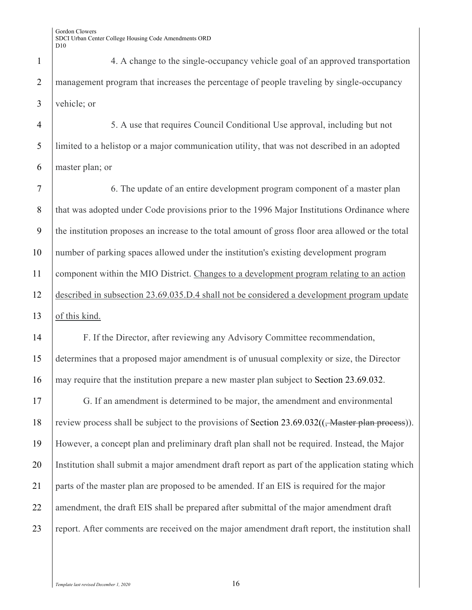1 4. A change to the single-occupancy vehicle goal of an approved transportation 2 management program that increases the percentage of people traveling by single-occupancy 3 vehicle; or

4 5. A use that requires Council Conditional Use approval, including but not 5 limited to a helistop or a major communication utility, that was not described in an adopted 6 master plan; or

7 6. The update of an entire development program component of a master plan 8 that was adopted under Code provisions prior to the 1996 Major Institutions Ordinance where 9 the institution proposes an increase to the total amount of gross floor area allowed or the total 10 number of parking spaces allowed under the institution's existing development program 11 component within the MIO District. Changes to a development program relating to an action 12 described in subsection 23.69.035.D.4 shall not be considered a development program update 13 of this kind.

14 F. If the Director, after reviewing any Advisory Committee recommendation, 15 determines that a proposed major amendment is of unusual complexity or size, the Director 16 may require that the institution prepare a new master plan subject to Section 23.69.032.

17 G. If an amendment is determined to be major, the amendment and environmental 18 review process shall be subject to the provisions of Section 23.69.032((<del>, Master plan process</del>)). 19 However, a concept plan and preliminary draft plan shall not be required. Instead, the Major 20 Institution shall submit a major amendment draft report as part of the application stating which 21 parts of the master plan are proposed to be amended. If an EIS is required for the major 22 amendment, the draft EIS shall be prepared after submittal of the major amendment draft 23 report. After comments are received on the major amendment draft report, the institution shall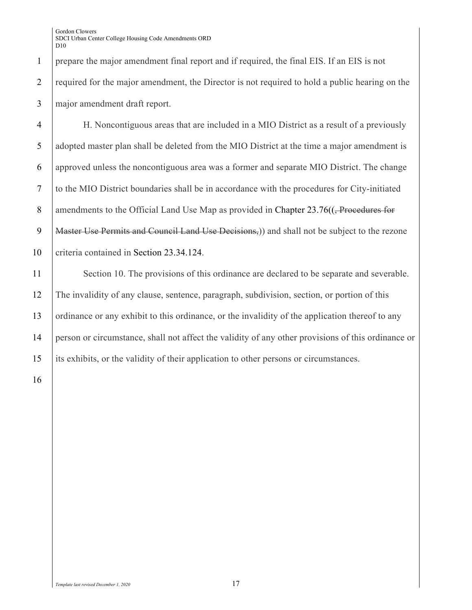1 prepare the major amendment final report and if required, the final EIS. If an EIS is not 2 required for the major amendment, the Director is not required to hold a public hearing on the 3 major amendment draft report.

4 H. Noncontiguous areas that are included in a MIO District as a result of a previously 5 adopted master plan shall be deleted from the MIO District at the time a major amendment is 6 approved unless the noncontiguous area was a former and separate MIO District. The change 7 to the MIO District boundaries shall be in accordance with the procedures for City-initiated 8 amendments to the Official Land Use Map as provided in Chapter 23.76((<del>, Procedures for</del> 9 | Master Use Permits and Council Land Use Decisions,) and shall not be subject to the rezone 10 criteria contained in Section 23.34.124.

11 Section 10. The provisions of this ordinance are declared to be separate and severable. 12 The invalidity of any clause, sentence, paragraph, subdivision, section, or portion of this 13 ordinance or any exhibit to this ordinance, or the invalidity of the application thereof to any 14 person or circumstance, shall not affect the validity of any other provisions of this ordinance or 15 its exhibits, or the validity of their application to other persons or circumstances.